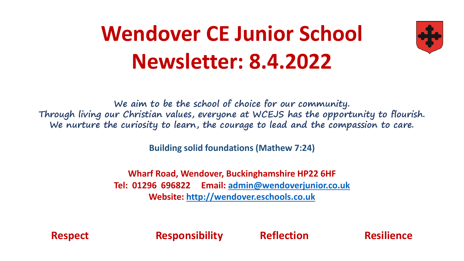# **Wendover CE Junior School Newsletter: 8.4.2022**



**We aim to be the school of choice for our community. Through living our Christian values, everyone at WCEJS has the opportunity to flourish. We nurture the curiosity to learn, the courage to lead and the compassion to care.**

**Building solid foundations (Mathew 7:24)** 

**Wharf Road, Wendover, Buckinghamshire HP22 6HF Tel: 01296 696822 Email: [admin@wendoverjunior.co.uk](mailto:admin@wendoverjunior.co.uk) Website: [http://wendover.eschools.co.uk](http://wendover.eschools.co.uk/)**

**Respect Responsibility Reflection Resilience**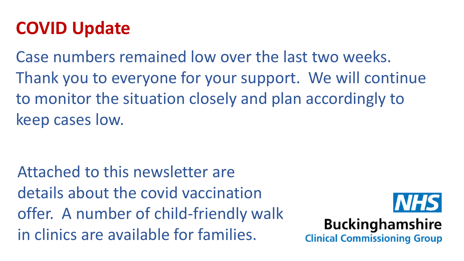### **COVID Update**

Case numbers remained low over the last two weeks. Thank you to everyone for your support. We will continue to monitor the situation closely and plan accordingly to keep cases low.

Attached to this newsletter are details about the covid vaccination offer. A number of child-friendly walk in clinics are available for families.



#### **Buckinghamshire**

**Clinical Commissioning Group**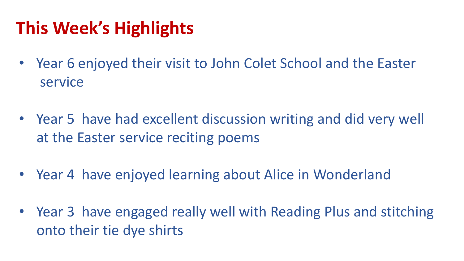## **This Week's Highlights**

- Year 6 enjoyed their visit to John Colet School and the Easter service
- Year 5 have had excellent discussion writing and did very well at the Easter service reciting poems
- Year 4 have enjoyed learning about Alice in Wonderland
- Year 3 have engaged really well with Reading Plus and stitching onto their tie dye shirts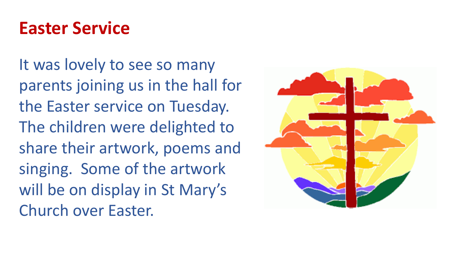#### **Easter Service**

It was lovely to see so many parents joining us in the hall for the Easter service on Tuesday. The children were delighted to share their artwork, poems and singing. Some of the artwork will be on display in St Mary's Church over Easter.

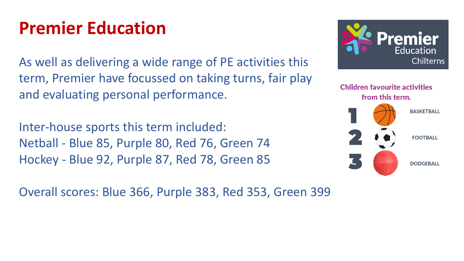#### **Premier Education**

As well as delivering a wide range of PE activities this term, Premier have focussed on taking turns, fair play and evaluating personal performance.

Inter-house sports this term included: Netball - Blue 85, Purple 80, Red 76, Green 74 Hockey - Blue 92, Purple 87, Red 78, Green 85

Overall scores: Blue 366, Purple 383, Red 353, Green 399



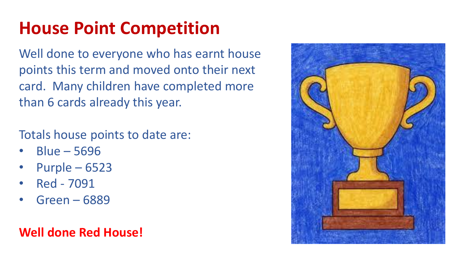## **House Point Competition**

Well done to everyone who has earnt house points this term and moved onto their next card. Many children have completed more than 6 cards already this year.

Totals house points to date are:

- Blue 5696
- Purple 6523
- Red 7091
- Green 6889

#### **Well done Red House!**

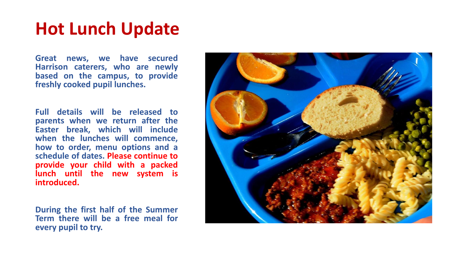#### **Hot Lunch Update**

**Great news, we have secured Harrison caterers, who are newly based on the campus, to provide freshly cooked pupil lunches.**

**Full details will be released to parents when we return after the Easter break, which will include when the lunches will commence, how to order, menu options and a schedule of dates. Please continue to provide your child with a packed lunch until the new system is introduced.**

**During the first half of the Summer Term there will be a free meal for every pupil to try.**

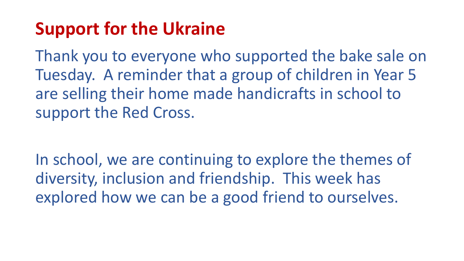### **Support for the Ukraine**

Thank you to everyone who supported the bake sale on Tuesday. A reminder that a group of children in Year 5 are selling their home made handicrafts in school to support the Red Cross.

In school, we are continuing to explore the themes of diversity, inclusion and friendship. This week has explored how we can be a good friend to ourselves.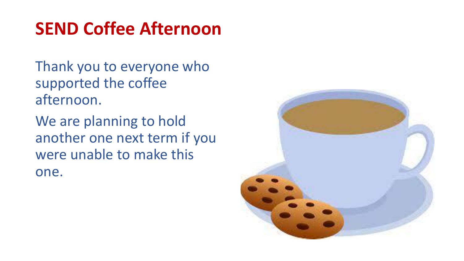#### **SEND Coffee Afternoon**

Thank you to everyone who supported the coffee afternoon.

We are planning to hold another one next term if you were unable to make this one.

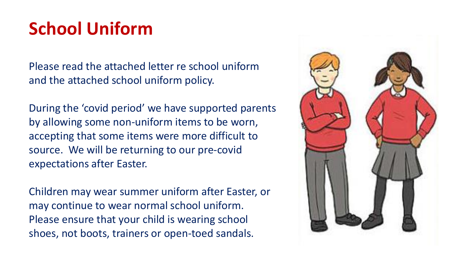## **School Uniform**

Please read the attached letter re school uniform and the attached school uniform policy.

During the 'covid period' we have supported parents by allowing some non-uniform items to be worn, accepting that some items were more difficult to source. We will be returning to our pre-covid expectations after Easter.

Children may wear summer uniform after Easter, or may continue to wear normal school uniform. Please ensure that your child is wearing school shoes, not boots, trainers or open-toed sandals.

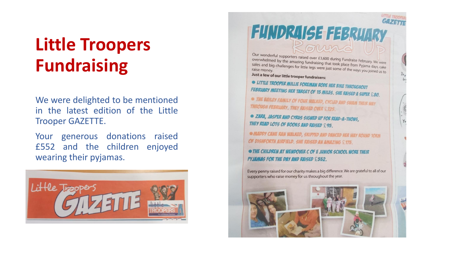## **Little Troopers Fundraising**

We were delighted to be mentioned in the latest edition of the Little Trooper GAZETTE.

Your generous donations raised £552 and the children enjoyed wearing their pyjamas.



# **FUNDRAISE FEBRUARY**

Our wonderful supporters raised over £3,600 during Fundraise February.<br>
Overwhelmed by the amazing fundraising that took place from Puruary. We were Overwhelmed by the amazing fundraising that took place from Pyjama days, cake<br>sales and big challenges for little legs were just some of the university of the sales sales and big challenges for little legs were just some of the ways you joined us to the sales and big challenges for little legs were just some of the ways you joined us to raise money.

Just a few of our little trooper fundraisers:

• LITTLE TROOPER MILLIE FOREMAN RODE HER BIKE THROUGHOUT FEBRUARY MEETING HER TARGET OF 15 MILES. SHE RAISED A SUPER £80.

THE BAILEY FAINILY OF FOUR WALKED, CYCLED AND SWAM THEIR WAY **THROUGH FEBRUARY. THEY RAISED OVER £725.** 

• ZARA, JASPER AND CYRUS SIGNED UP FOR READ-A-THONS, THEY READ LOTS OF BOOKS AND RAISED £95.

**• MADDY CANE RAN WALKED, SKIPPED AND DANCED HER WAY ROUND TOKIN** OF DISHFORTH AIRFIELD. SHE RAISED AN AMAZING £175.

• THE CHILDREN AT WENDOVER C OF E JUNIOR SCHOOL WORE THEIR **PYJAMAS FOR THE DAY AND RAISED £552.** 

Every penny raised for our charity makes a big difference. We are grateful to all of our supporters who raise money for us throughout the year.

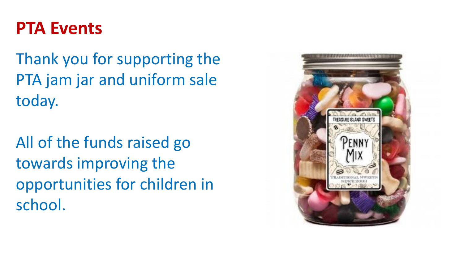#### **PTA Events**

Thank you for supporting the PTA jam jar and uniform sale today.

All of the funds raised go towards improving the opportunities for children in school.

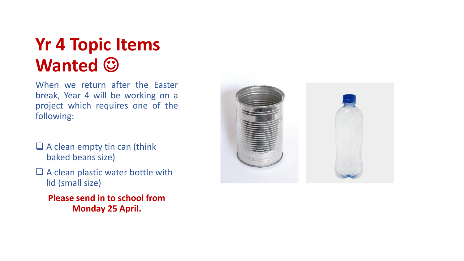### **Yr 4 Topic Items Wanted**  $\odot$

When we return after the Easter break, Year 4 will be working on a project which requires one of the following:

- $\Box$  A clean empty tin can (think baked beans size)
- □ A clean plastic water bottle with lid (small size)
	- **Please send in to school from Monday 25 April.**

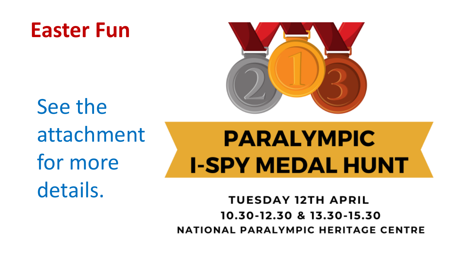# **Easter Fun**



See the attachment for more details.

# **PARALYMPIC I-SPY MEDAL HUNT**

**TUESDAY 12TH APRIL** 10.30-12.30 & 13.30-15.30 NATIONAL PARALYMPIC HERITAGE CENTRE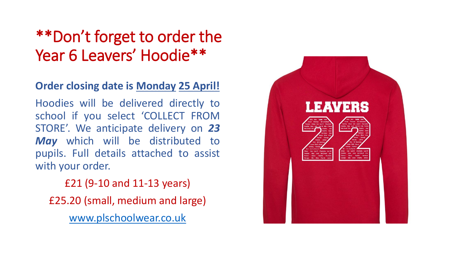#### \*\*Don't forget to order the Year 6 Leavers' Hoodie\*\*

#### **Order closing date is Monday 25 April!**

Hoodies will be delivered directly to school if you select 'COLLECT FROM STORE'. We anticipate delivery on *23 May* which will be distributed to pupils. Full details attached to assist with your order.

£21 (9-10 and 11-13 years) £25.20 (small, medium and large) [www.plschoolwear.co.uk](http://www.plschoolwear.co.uk/)

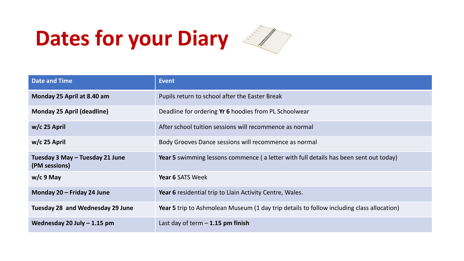# **Dates for your Diary**



| <b>Date and Time</b>                             | <b>Event</b>                                                                                     |
|--------------------------------------------------|--------------------------------------------------------------------------------------------------|
| Monday 25 April at 8.40 am                       | Pupils return to school after the Easter Break                                                   |
| <b>Monday 25 April (deadline)</b>                | Deadline for ordering Yr 6 hoodies from PL Schoolwear                                            |
| $w/c$ 25 April                                   | After school tuition sessions will recommence as normal                                          |
| $w/c$ 25 April                                   | Body Grooves Dance sessions will recommence as normal                                            |
| Tuesday 3 May - Tuesday 21 June<br>(PM sessions) | <b>Year 5</b> swimming lessons commence (a letter with full details has been sent out today)     |
| $w/c$ 9 May                                      | <b>Year 6 SATS Week</b>                                                                          |
| Monday 20 - Friday 24 June                       | Year 6 residential trip to Llain Activity Centre, Wales.                                         |
| Tuesday 28 and Wednesday 29 June                 | <b>Year 5</b> trip to Ashmolean Museum (1 day trip details to follow including class allocation) |
| Wednesday 20 July $-$ 1.15 pm                    | Last day of term $-1.15$ pm finish                                                               |